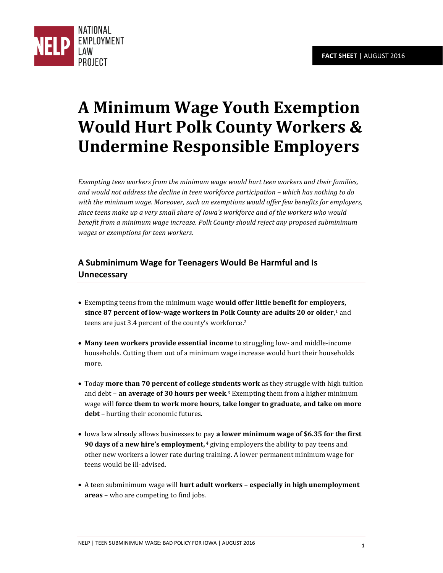

## **A Minimum Wage Youth Exemption Would Hurt Polk County Workers & Undermine Responsible Employers**

*Exempting teen workers from the minimum wage would hurt teen workers and their families, and would not address the decline in teen workforce participation – which has nothing to do with the minimum wage. Moreover, such an exemptions would offer few benefits for employers, since teens make up a very small share of Iowa's workforce and of the workers who would benefit from a minimum wage increase. Polk County should reject any proposed subminimum wages or exemptions for teen workers.* 

## **A Subminimum Wage for Teenagers Would Be Harmful and Is Unnecessary**

- Exempting teens from the minimum wage **would offer little benefit for employers, since 87 percent of low-wage workers in Polk County are adults 20 or older**, <sup>1</sup> and teens are just 3.4 percent of the county's workforce.<sup>2</sup>
- **Many teen workers provide essential income** to struggling low- and middle-income households. Cutting them out of a minimum wage increase would hurt their households more.
- Today **more than 70 percent of college students work** as they struggle with high tuition and debt – **an average of 30 hours per week**. <sup>3</sup> Exempting them from a higher minimum wage will **force them to work more hours, take longer to graduate, and take on more debt** – hurting their economic futures.
- Iowa law already allows businesses to pay **a lower minimum wage of \$6.35 for the first 90 days of a new hire's employment,** <sup>4</sup> giving employers the ability to pay teens and other new workers a lower rate during training. A lower permanent minimum wage for teens would be ill-advised.
- A teen subminimum wage will **hurt adult workers – especially in high unemployment areas** – who are competing to find jobs.